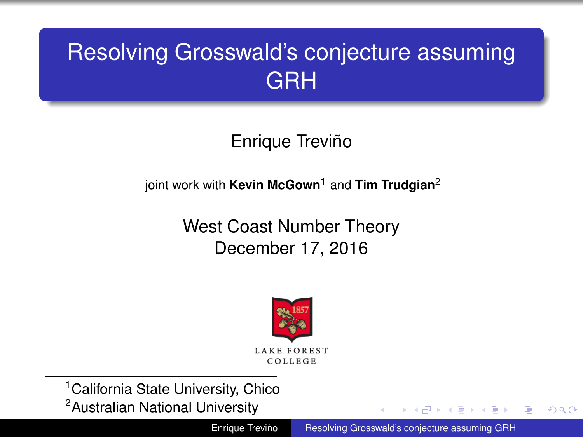# <span id="page-0-0"></span>Resolving Grosswald's conjecture assuming GRH

Enrique Treviño

joint work with **Kevin McGown**<sup>1</sup> and **Tim Trudgian**<sup>2</sup>

West Coast Number Theory December 17, 2016



<sup>1</sup> California State University, Chico

<sup>2</sup>Australian National University

Enrique Treviño [Resolving Grosswald's conjecture assuming GRH](#page-13-0)

(4) 三 下

ă

 $2Q$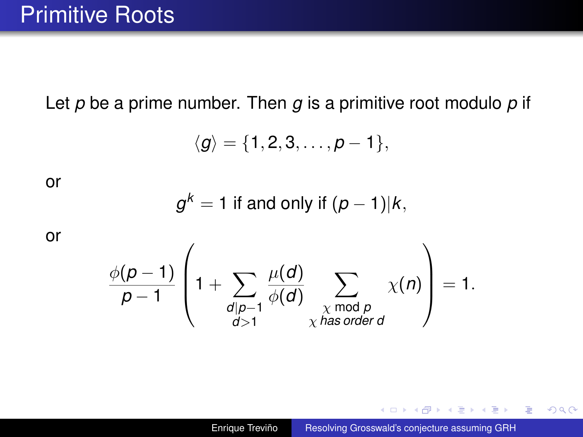Let *p* be a prime number. Then *g* is a primitive root modulo *p* if

$$
\langle g \rangle = \{1,2,3,\ldots,p-1\},
$$

or

$$
g^k = 1
$$
 if and only if  $(p-1)|k$ ,

or

$$
\frac{\phi(p-1)}{p-1}\left(1+\sum_{\substack{d\mid p-1\\d>1}}\frac{\mu(d)}{\phi(d)}\sum_{\substack{\chi \bmod p\\ \chi \text{ has order } d}}\chi(n)\right)=1.
$$

イロト イ押 トイヨ トイヨ トーヨー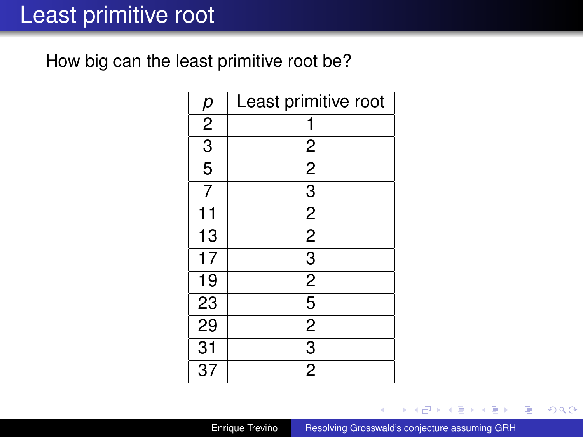## Least primitive root

How big can the least primitive root be?

| р               | Least primitive root    |
|-----------------|-------------------------|
| $\overline{2}$  | 1                       |
| $\overline{3}$  | $\overline{\mathbf{c}}$ |
| $\overline{5}$  | $\overline{2}$          |
| $\overline{7}$  | $\overline{3}$          |
| 11              | $\frac{2}{2}$           |
| $\overline{13}$ |                         |
| $\overline{17}$ | $\overline{3}$          |
| 19              | $\overline{2}$          |
| 23              | $\overline{5}$          |
| 29              | $\overline{2}$          |
| $\overline{31}$ | $\overline{3}$          |
| $\overline{37}$ | $\overline{2}$          |

Enrique Treviño [Resolving Grosswald's conjecture assuming GRH](#page-0-0)

4 0 8

 $\left\{ \bigoplus_k k \right\} \in \mathbb{R}$  is a defined of

重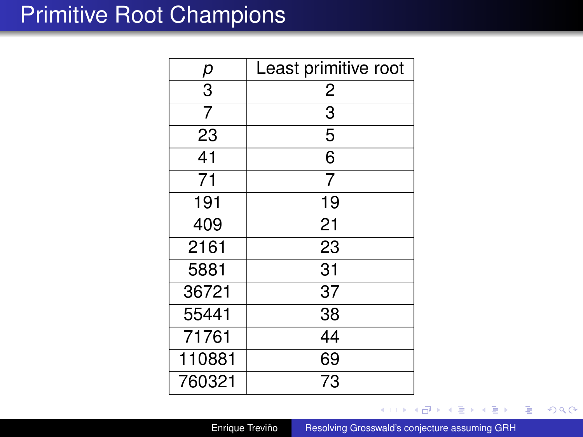#### <span id="page-3-0"></span>Primitive Root Champions

| р              | Least primitive root |
|----------------|----------------------|
| $\overline{3}$ | $\overline{c}$       |
| 7              | $\overline{3}$       |
| 23             | $\overline{5}$       |
| 41             | 6                    |
| 71             | $\overline{7}$       |
| 191            | 19                   |
| 409            | 21                   |
| 2161           | 23                   |
| 5881           | 31                   |
| 36721          | 37                   |
| 55441          | 38                   |
| 71761          | 44                   |
| 110881         | 69                   |
| 760321         | 73                   |

Enrique Treviño [Resolving Grosswald's conjecture assuming GRH](#page-0-0)

 $\leftarrow$   $\Box$ 

← 一句  $\mathbf{p}$  ④差を ④差を

重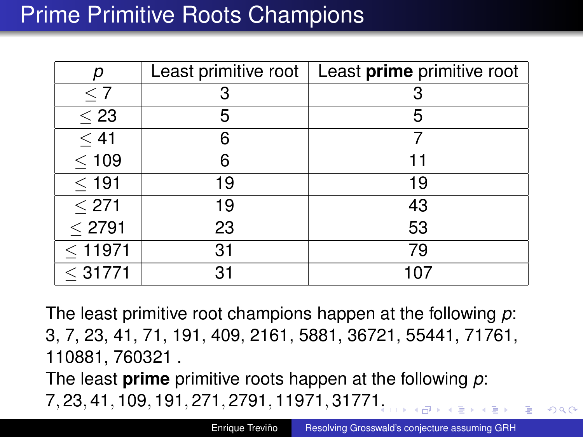# Prime Primitive Roots Champions

| р                      | Least primitive root | Least prime primitive root |
|------------------------|----------------------|----------------------------|
| $\leq 7$               | З                    |                            |
| $\overline{\leq} 23$   | 5                    | 5                          |
| < 41                   | 6                    |                            |
| $\leq 109$             | 6                    |                            |
| $\leq$ 191             | 19                   | 19                         |
| $\leq 271$             | 19                   | 43                         |
| $\overline{\leq}$ 2791 | 23                   | 53                         |
| $\leq$ 11971           | 31                   | 79                         |
| $<$ 31771              | 31                   | 107                        |

The least primitive root champions happen at the following *p*: 3, 7, 23, 41, 71, 191, 409, 2161, 5881, 36721, 55441, 71761, 110881, 760321 .

The least **prime** primitive roots happen at the following *p*: 7, 23, 41, 109, 191, 271, 2791, 11971, 3177[1.](#page-3-0)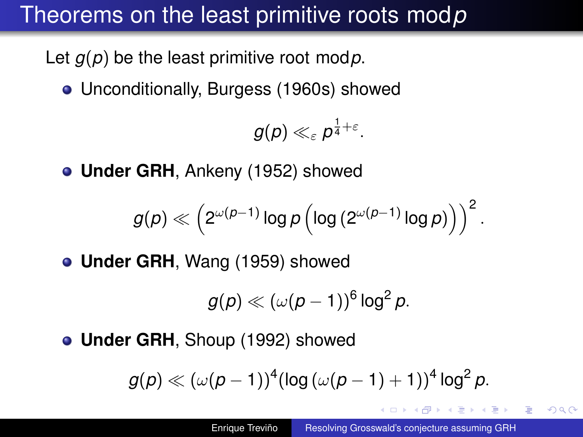# Theorems on the least primitive roots mod*p*

Let *g*(*p*) be the least primitive root mod*p*.

Unconditionally, Burgess (1960s) showed

$$
g(\rho)\ll_{\varepsilon} \rho^{\frac{1}{4}+\varepsilon}.
$$

**Under GRH**, Ankeny (1952) showed

$$
g(\rho) \ll \left(2^{\omega(\rho-1)}\log\rho\left(\log\left(2^{\omega(\rho-1)}\log\rho\right)\right)\right)^2.
$$

**Under GRH**, Wang (1959) showed

$$
g(p) \ll (\omega(p-1))^6 \log^2 p.
$$

**Under GRH**, Shoup (1992) showed

$$
g(\rho) \ll (\omega(\rho-1))^4 (\log{(\omega(\rho-1)+1)})^4 \log^2{\rho}.
$$

 $\mathbb{R}^n \times \mathbb{R}^n \times \mathbb{R}^n$ 

ă.  $QQQ$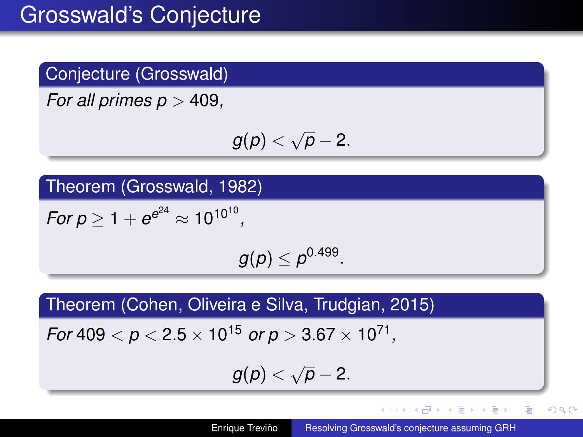#### Conjecture (Grosswald)

*For all primes p* > 409*,*

$$
g(p)<\sqrt{p}-2.
$$

Theorem (Grosswald, 1982)

 $For p \ge 1 + e^{e^{24}} \approx 10^{10^{10}},$ 

 $g(\rho)\leq \rho^{0.499}.$ 

Theorem (Cohen, Oliveira e Silva, Trudgian, 2015)

 $\,$  *For* 409  $<$   $p$   $<$  2.5  $\times$  10<sup>15</sup>  $\,$  *or p*  $>$  3.67  $\times$  10<sup>71</sup> ,

$$
g(p)<\sqrt{p}-2.
$$

重。

 $2Q$ 

K ロ ▶ K 御 ▶ K ヨ ▶ K ヨ ▶ ...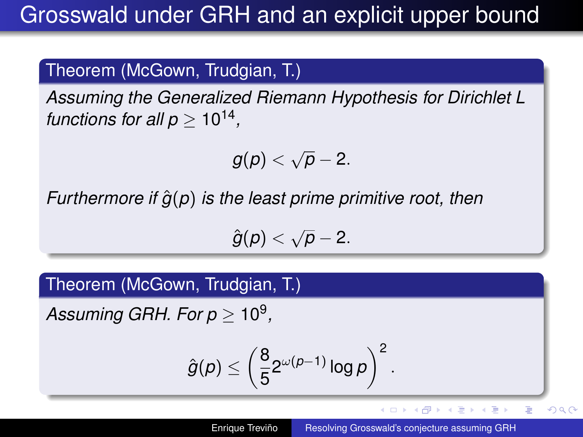#### Theorem (McGown, Trudgian, T.)

*Assuming the Generalized Riemann Hypothesis for Dirichlet L functions for all p*  $\geq 10^{14}$ *,* 

$$
g(p)<\sqrt{p}-2.
$$

*Furthermore if*  $\hat{g}(p)$  *is the least prime primitive root, then* 

$$
\hat{g}(p) < \sqrt{p} - 2.
$$

Theorem (McGown, Trudgian, T.)

 $\it{Assuming GRH}.$  For  $p \geq 10^9,$ 

$$
\hat{g}(\rho) \le \left(\frac{8}{5}2^{\omega(\rho-1)}\log\rho\right)^2.
$$

イロメ イ押 メイヨメ イヨメ

ă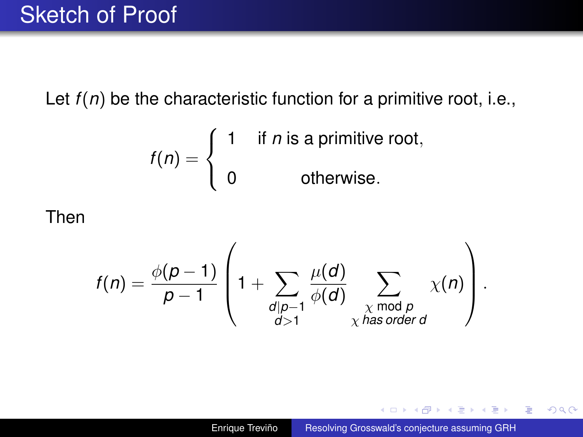#### Sketch of Proof

Let  $f(n)$  be the characteristic function for a primitive root, i.e.,

$$
f(n) = \begin{cases} 1 & \text{if } n \text{ is a primitive root,} \\ 0 & \text{otherwise.} \end{cases}
$$

#### Then

$$
f(n) = \frac{\phi(p-1)}{p-1} \left(1 + \sum_{\substack{d \mid p-1 \\ d>1}} \frac{\mu(d)}{\phi(d)} \sum_{\substack{\chi \bmod p \\ \chi \text{ has order } d}} \chi(n)\right).
$$

イロト イ団 トイヨ トイヨ トー

÷.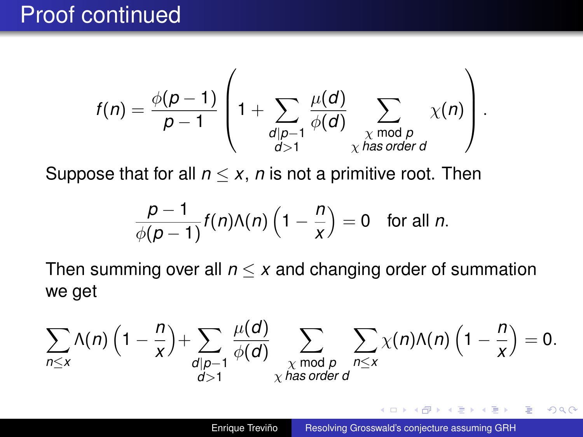## Proof continued

$$
f(n) = \frac{\phi(p-1)}{p-1} \left(1 + \sum_{\substack{d \mid p-1 \\ d>1}} \frac{\mu(d)}{\phi(d)} \sum_{\substack{\chi \bmod p \\ \chi \text{ has order } d}} \chi(n)\right).
$$

Suppose that for all  $n \leq x$ , *n* is not a primitive root. Then

$$
\frac{p-1}{\phi(p-1)}f(n)\Lambda(n)\left(1-\frac{n}{x}\right)=0 \text{ for all } n.
$$

Then summing over all  $n \leq x$  and changing order of summation we get

$$
\sum_{n\leq x}\Lambda(n)\left(1-\frac{n}{x}\right)+\sum_{\substack{d\mid p-1\\d>1}}\frac{\mu(d)}{\phi(d)}\sum_{\substack{\chi \bmod p\\ \chi \text{ has order } d}}\sum_{n\leq x}\chi(n)\Lambda(n)\left(1-\frac{n}{x}\right)=0.
$$

愛 おくぼ おし

 $\leftarrow$   $\leftarrow$   $\leftarrow$   $\leftarrow$ 

B

 $2Q$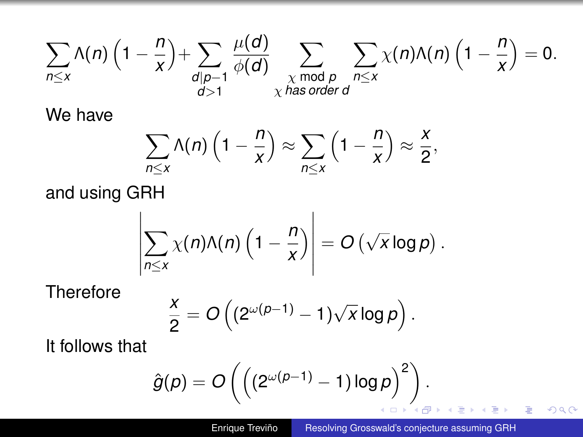$$
\sum_{n\leq x}\Lambda(n)\left(1-\frac{n}{x}\right)+\sum_{\substack{d\mid p-1\\d>1}}\frac{\mu(d)}{\phi(d)}\sum_{\substack{\chi \bmod p\\ \chi \text{ has order } d}}\sum_{n\leq x}\chi(n)\Lambda(n)\left(1-\frac{n}{x}\right)=0.
$$

We have

$$
\sum_{n\leq x}\Lambda(n)\left(1-\frac{n}{x}\right)\approx\sum_{n\leq x}\left(1-\frac{n}{x}\right)\approx\frac{x}{2},
$$

and using GRH

$$
\left|\sum_{n\leq x}\chi(n)\Lambda(n)\left(1-\frac{n}{x}\right)\right|=O\left(\sqrt{x}\log p\right).
$$

**Therefore** 

$$
\frac{x}{2}=O\left((2^{\omega(\rho-1)}-1)\sqrt{x}\log\rho\right).
$$

It follows that

$$
\hat{g}(p) = O\left(\left((2^{\omega(p-1)}-1)\log p\right)^2\right).
$$

.

×

 $\mathbf{y} \rightarrow \mathbf{z}$ 

È.

重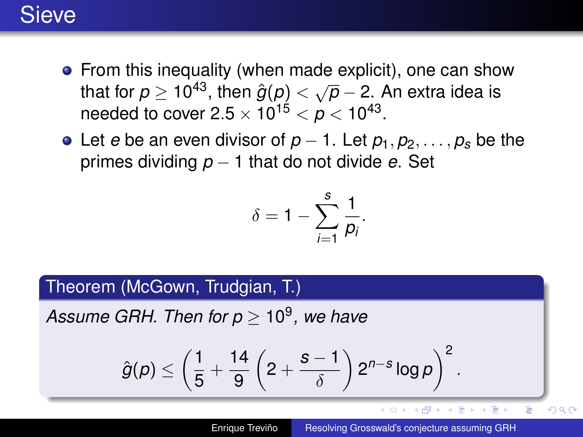#### **Sieve**

- From this inequality (when made explicit), one can show that for  $p \ge 10^{43}$ , then  $\hat{g}(p) < \sqrt{p} - 2$ . An extra idea is needed to cover 2.5  $\times$  10<sup>15</sup>  $<\rho$   $<$  10<sup>43</sup>.
- Let *e* be an even divisor of  $p-1$ . Let  $p_1, p_2, \ldots, p_s$  be the primes dividing *p* − 1 that do not divide *e*. Set

$$
\delta=1-\sum_{i=1}^s\frac{1}{p_i}.
$$

#### Theorem (McGown, Trudgian, T.)

*Assume GRH. Then for p* ≥ 10<sup>9</sup> *, we have*

$$
\hat{g}(\rho) \leq \left(\frac{1}{5} + \frac{14}{9}\left(2 + \frac{s-1}{\delta}\right)2^{n-s}\log\rho\right)^2.
$$

4 ロ ) (何 ) (日 ) (日 )

E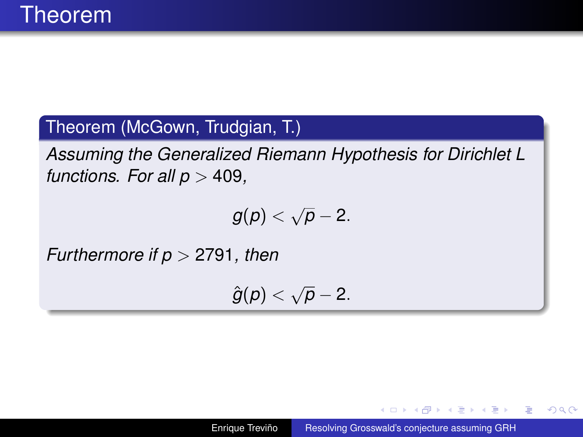#### Theorem (McGown, Trudgian, T.)

*Assuming the Generalized Riemann Hypothesis for Dirichlet L functions. For all*  $p > 409$ *,* 

$$
g(p)<\sqrt{p}-2.
$$

*Furthermore if p* > 2791*, then*

$$
\hat{g}(p) < \sqrt{p} - 2.
$$

イロト イ押 トイヨ トイヨト

B

 $QQQ$